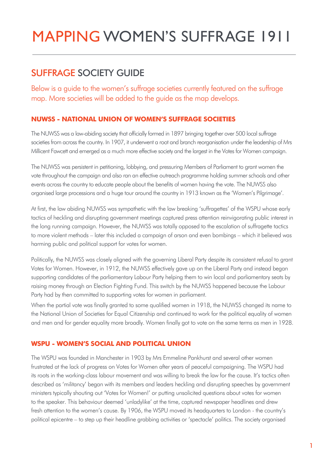# MAPPING WOMEN'S SUFFRAGE 1911

# SUFFRAGE SOCIETY GUIDE

Below is a guide to the women's suffrage societies currently featured on the suffrage map. More societies will be added to the guide as the map develops.

# **NUWSS - NATIONAL UNION OF WOMEN'S SUFFRAGE SOCIETIES**

The NUWSS was a law-abiding society that officially formed in 1897 bringing together over 500 local suffrage societies from across the country. In 1907, it underwent a root and branch reorganisation under the leadership of Mrs Millicent Fawcett and emerged as a much more effective society and the largest in the Votes for Women campaign.

The NUWSS was persistent in petitioning, lobbying, and pressuring Members of Parliament to grant women the vote throughout the campaign and also ran an effective outreach programme holding summer schools and other events across the country to educate people about the benefits of women having the vote. The NUWSS also organised large processions and a huge tour around the country in 1913 known as the 'Women's Pilgrimage'.

At first, the law abiding NUWSS was sympathetic with the law breaking 'suffragettes' of the WSPU whose early tactics of heckling and disrupting government meetings captured press attention reinvigorating public interest in the long running campaign. However, the NUWSS was totally opposed to the escalation of suffragette tactics to more violent methods – later this included a campaign of arson and even bombings – which it believed was harming public and political support for votes for women.

Politically, the NUWSS was closely aligned with the governing Liberal Party despite its consistent refusal to grant Votes for Women. However, in 1912, the NUWSS effectively gave up on the Liberal Party and instead began supporting candidates of the parliamentary Labour Party helping them to win local and parliamentary seats by raising money through an Election Fighting Fund. This switch by the NUWSS happened because the Labour Party had by then committed to supporting votes for women in parliament.

When the partial vote was finally granted to some qualified women in 1918, the NUWSS changed its name to the National Union of Societies for Equal Citizenship and continued to work for the political equality of women and men and for gender equality more broadly. Women finally got to vote on the same terms as men in 1928.

# **WSPU - WOMEN'S SOCIAL AND POLITICAL UNION**

The WSPU was founded in Manchester in 1903 by Mrs Emmeline Pankhurst and several other women frustrated at the lack of progress on Votes for Women after years of peaceful campaigning. The WSPU had its roots in the working-class labour movement and was willing to break the law for the cause. It's tactics often described as 'militancy' began with its members and leaders heckling and disrupting speeches by government ministers typically shouting out 'Votes for Women!' or putting unsolicited questions about votes for women to the speaker. This behaviour deemed 'unladylike' at the time, captured newspaper headlines and drew fresh attention to the women's cause. By 1906, the WSPU moved its headquarters to London - the country's political epicentre – to step up their headline grabbing activities or 'spectacle' politics. The society organised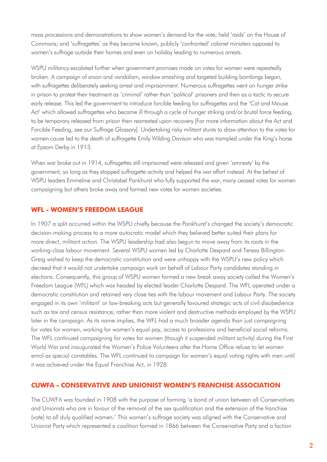mass processions and demonstrations to show women's demand for the vote; held 'raids' on the House of Commons; and 'suffragettes' as they became known, publicly 'confronted' cabinet ministers opposed to women's suffrage outside their homes and even on holiday leading to numerous arrests.

WSPU militancy escalated further when government promises made on votes for women were repeatedly broken. A campaign of arson and vandalism, window smashing and targeted building bombings began, with suffragettes deliberately seeking arrest and imprisonment. Numerous suffragettes went on hunger strike in prison to protest their treatment as 'criminal' rather than 'political' prisoners and then as a tactic to secure early release. This led the government to introduce forcible feeding for suffragettes and the 'Cat and Mouse Act' which allowed suffragettes who became ill through a cycle of hunger striking and/or brutal force feeding, to be temporary released from prison then rearrested upon recovery [For more information about the Act and Forcible Feeding, see our Suffrage Glossary]. Undertaking risky militant stunts to draw attention to the votes for women cause led to the death of suffragette Emily Wilding Davison who was trampled under the King's horse at Epsom Derby in 1913.

When war broke out in 1914, suffragettes still imprisoned were released and given 'amnesty' by the government, so long as they stopped suffragette activity and helped the war effort instead. At the behest of WSPU leaders Emmeline and Christabel Pankhurst who fully supported the war, many ceased votes for women campaigning but others broke away and formed new votes for women societies.

#### **WFL - WOMEN'S FREEDOM LEAGUE**

In 1907 a split occurred within the WSPU chiefly because the Pankhurst's changed the society's democratic decision-making process to a more autocratic model which they believed better suited their plans for more direct, militant action. The WSPU leadership had also begun to move away from its roots in the working-class labour movement. Several WSPU women led by Charlotte Despard and Teresa Billington-Greig wished to keep the democratic constitution and were unhappy with the WSPU's new policy which decreed that it would not undertake campaign work on behalf of Labour Party candidates standing in elections. Consequently, this group of WSPU women formed a new break away society called the Women's Freedom League (WFL) which was headed by elected leader Charlotte Despard. The WFL operated under a democratic constitution and retained very close ties with the labour movement and Labour Party. The society engaged in its own 'militant' or law-breaking acts but generally favoured strategic acts of civil disobedience such as tax and census resistance, rather than more violent and destructive methods employed by the WSPU later in the campaign. As its name implies, the WFL had a much broader agenda than just campaigning for votes for women, working for women's equal pay, access to professions and beneficial social reforms. The WFL continued campaigning for votes for women (though it suspended militant activity) during the First World War and inaugurated the Women's Police Volunteers after the Home Office refuse to let women enrol as special constables. The WFL continued to campaign for women's equal voting rights with men until it was achieved under the Equal Franchise Act, in 1928.

#### **CUWFA - CONSERVATIVE AND UNIONIST WOMEN'S FRANCHISE ASSOCIATION**

The CUWFA was founded in 1908 with the purpose of forming 'a bond of union between all Conservatives and Unionists who are in favour of the removal of the sex qualification and the extension of the franchise (vote) to all duly qualified women.' This women's suffrage society was aligned with the Conservative and Unionist Party which represented a coalition formed in 1866 between the Conservative Party and a faction